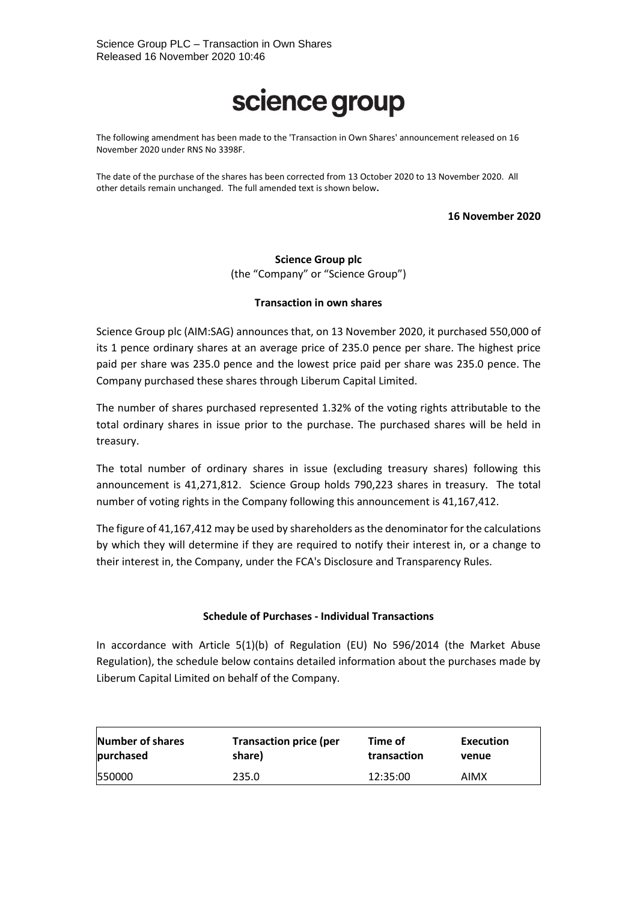## science group

The following amendment has been made to the 'Transaction in Own Shares' announcement released on 16 November 2020 under RNS No 3398F.

The date of the purchase of the shares has been corrected from 13 October 2020 to 13 November 2020. All other details remain unchanged. The full amended text is shown below**.**

**16 November 2020**

**Science Group plc** (the "Company" or "Science Group")

## **Transaction in own shares**

Science Group plc (AIM:SAG) announces that, on 13 November 2020, it purchased 550,000 of its 1 pence ordinary shares at an average price of 235.0 pence per share. The highest price paid per share was 235.0 pence and the lowest price paid per share was 235.0 pence. The Company purchased these shares through Liberum Capital Limited.

The number of shares purchased represented 1.32% of the voting rights attributable to the total ordinary shares in issue prior to the purchase. The purchased shares will be held in treasury.

The total number of ordinary shares in issue (excluding treasury shares) following this announcement is 41,271,812. Science Group holds 790,223 shares in treasury. The total number of voting rights in the Company following this announcement is 41,167,412.

The figure of 41,167,412 may be used by shareholders as the denominator for the calculations by which they will determine if they are required to notify their interest in, or a change to their interest in, the Company, under the FCA's Disclosure and Transparency Rules.

## **Schedule of Purchases - Individual Transactions**

In accordance with Article 5(1)(b) of Regulation (EU) No 596/2014 (the Market Abuse Regulation), the schedule below contains detailed information about the purchases made by Liberum Capital Limited on behalf of the Company.

| Number of shares | <b>Transaction price (per</b> | Time of     | Execution |
|------------------|-------------------------------|-------------|-----------|
| purchased        | share)                        | transaction | venue     |
| 550000           | 235.0                         | 12:35:00    | AIMX      |